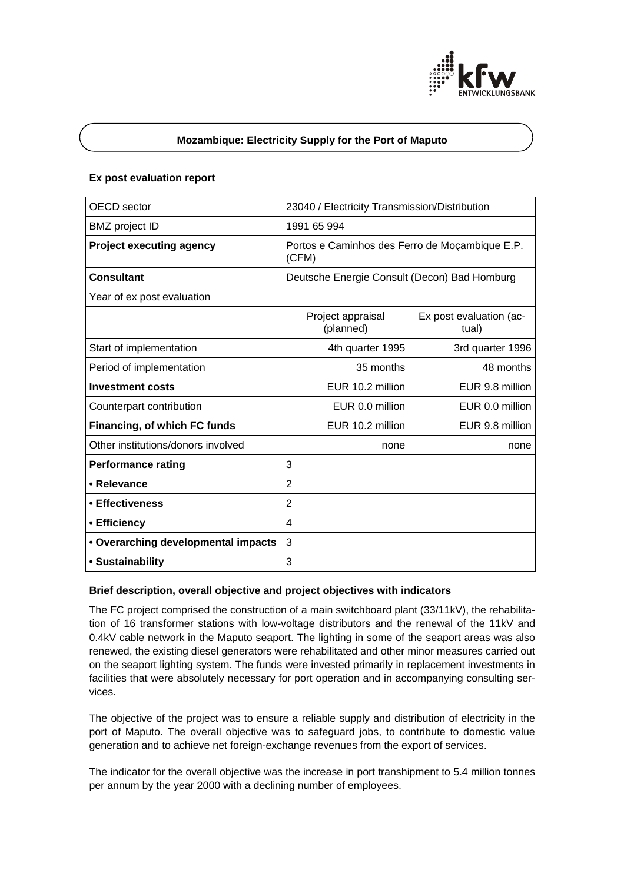

# **Mozambique: Electricity Supply for the Port of Maputo**

### **Ex post evaluation report**

| OECD sector                         | 23040 / Electricity Transmission/Distribution           |                                  |
|-------------------------------------|---------------------------------------------------------|----------------------------------|
| <b>BMZ</b> project ID               | 1991 65 994                                             |                                  |
| <b>Project executing agency</b>     | Portos e Caminhos des Ferro de Moçambique E.P.<br>(CFM) |                                  |
| <b>Consultant</b>                   | Deutsche Energie Consult (Decon) Bad Homburg            |                                  |
| Year of ex post evaluation          |                                                         |                                  |
|                                     | Project appraisal<br>(planned)                          | Ex post evaluation (ac-<br>tual) |
| Start of implementation             | 4th quarter 1995                                        | 3rd quarter 1996                 |
| Period of implementation            | 35 months                                               | 48 months                        |
| <b>Investment costs</b>             | EUR 10.2 million                                        | EUR 9.8 million                  |
| Counterpart contribution            | EUR 0.0 million                                         | EUR 0.0 million                  |
| Financing, of which FC funds        | EUR 10.2 million                                        | EUR 9.8 million                  |
| Other institutions/donors involved  | none                                                    | none                             |
| <b>Performance rating</b>           | 3                                                       |                                  |
| • Relevance                         | $\overline{2}$                                          |                                  |
| • Effectiveness                     | $\overline{2}$                                          |                                  |
| • Efficiency                        | $\overline{4}$                                          |                                  |
| • Overarching developmental impacts | 3                                                       |                                  |
| • Sustainability                    | 3                                                       |                                  |

#### **Brief description, overall objective and project objectives with indicators**

The FC project comprised the construction of a main switchboard plant (33/11kV), the rehabilitation of 16 transformer stations with low-voltage distributors and the renewal of the 11kV and 0.4kV cable network in the Maputo seaport. The lighting in some of the seaport areas was also renewed, the existing diesel generators were rehabilitated and other minor measures carried out on the seaport lighting system. The funds were invested primarily in replacement investments in facilities that were absolutely necessary for port operation and in accompanying consulting services.

The objective of the project was to ensure a reliable supply and distribution of electricity in the port of Maputo. The overall objective was to safeguard jobs, to contribute to domestic value generation and to achieve net foreign-exchange revenues from the export of services.

The indicator for the overall objective was the increase in port transhipment to 5.4 million tonnes per annum by the year 2000 with a declining number of employees.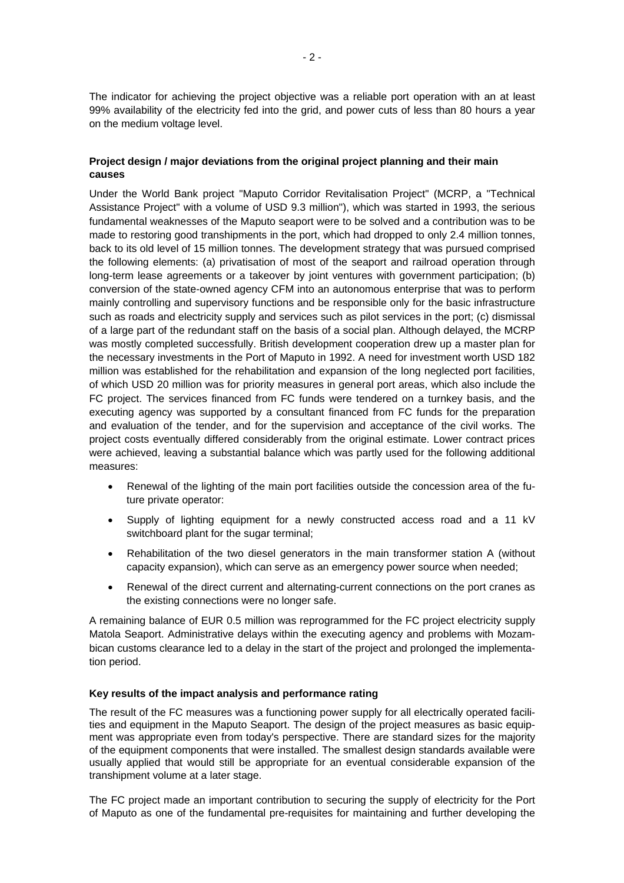The indicator for achieving the project objective was a reliable port operation with an at least 99% availability of the electricity fed into the grid, and power cuts of less than 80 hours a year on the medium voltage level.

# **Project design / major deviations from the original project planning and their main causes**

Under the World Bank project "Maputo Corridor Revitalisation Project" (MCRP, a "Technical Assistance Project" with a volume of USD 9.3 million"), which was started in 1993, the serious fundamental weaknesses of the Maputo seaport were to be solved and a contribution was to be made to restoring good transhipments in the port, which had dropped to only 2.4 million tonnes, back to its old level of 15 million tonnes. The development strategy that was pursued comprised the following elements: (a) privatisation of most of the seaport and railroad operation through long-term lease agreements or a takeover by joint ventures with government participation; (b) conversion of the state-owned agency CFM into an autonomous enterprise that was to perform mainly controlling and supervisory functions and be responsible only for the basic infrastructure such as roads and electricity supply and services such as pilot services in the port; (c) dismissal of a large part of the redundant staff on the basis of a social plan. Although delayed, the MCRP was mostly completed successfully. British development cooperation drew up a master plan for the necessary investments in the Port of Maputo in 1992. A need for investment worth USD 182 million was established for the rehabilitation and expansion of the long neglected port facilities, of which USD 20 million was for priority measures in general port areas, which also include the FC project. The services financed from FC funds were tendered on a turnkey basis, and the executing agency was supported by a consultant financed from FC funds for the preparation and evaluation of the tender, and for the supervision and acceptance of the civil works. The project costs eventually differed considerably from the original estimate. Lower contract prices were achieved, leaving a substantial balance which was partly used for the following additional measures:

- Renewal of the lighting of the main port facilities outside the concession area of the future private operator:
- Supply of lighting equipment for a newly constructed access road and a 11 kV switchboard plant for the sugar terminal;
- Rehabilitation of the two diesel generators in the main transformer station A (without capacity expansion), which can serve as an emergency power source when needed;
- Renewal of the direct current and alternating-current connections on the port cranes as the existing connections were no longer safe.

A remaining balance of EUR 0.5 million was reprogrammed for the FC project electricity supply Matola Seaport. Administrative delays within the executing agency and problems with Mozambican customs clearance led to a delay in the start of the project and prolonged the implementation period.

#### **Key results of the impact analysis and performance rating**

The result of the FC measures was a functioning power supply for all electrically operated facilities and equipment in the Maputo Seaport. The design of the project measures as basic equipment was appropriate even from today's perspective. There are standard sizes for the majority of the equipment components that were installed. The smallest design standards available were usually applied that would still be appropriate for an eventual considerable expansion of the transhipment volume at a later stage.

The FC project made an important contribution to securing the supply of electricity for the Port of Maputo as one of the fundamental pre-requisites for maintaining and further developing the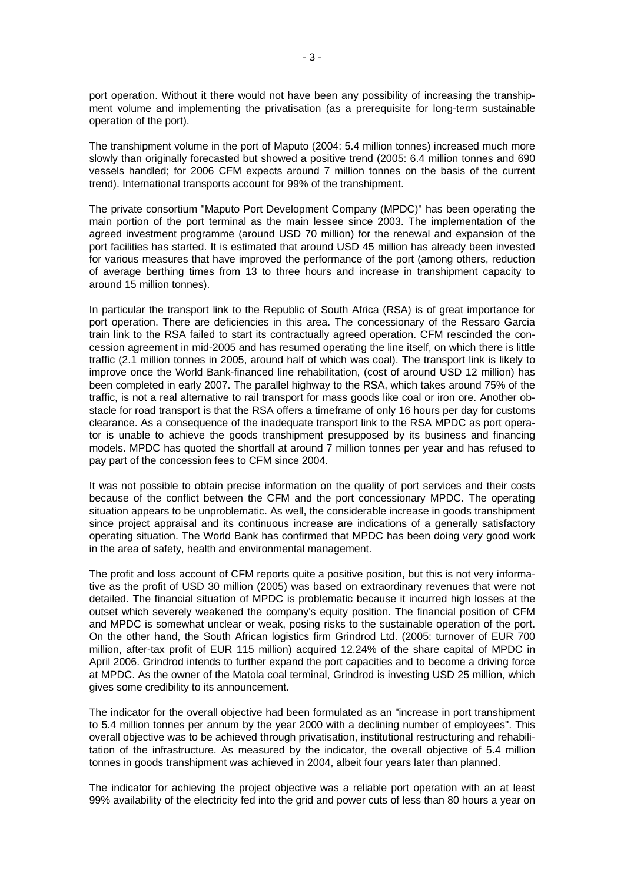port operation. Without it there would not have been any possibility of increasing the transhipment volume and implementing the privatisation (as a prerequisite for long-term sustainable operation of the port).

The transhipment volume in the port of Maputo (2004: 5.4 million tonnes) increased much more slowly than originally forecasted but showed a positive trend (2005: 6.4 million tonnes and 690 vessels handled; for 2006 CFM expects around 7 million tonnes on the basis of the current trend). International transports account for 99% of the transhipment.

The private consortium "Maputo Port Development Company (MPDC)" has been operating the main portion of the port terminal as the main lessee since 2003. The implementation of the agreed investment programme (around USD 70 million) for the renewal and expansion of the port facilities has started. It is estimated that around USD 45 million has already been invested for various measures that have improved the performance of the port (among others, reduction of average berthing times from 13 to three hours and increase in transhipment capacity to around 15 million tonnes).

In particular the transport link to the Republic of South Africa (RSA) is of great importance for port operation. There are deficiencies in this area. The concessionary of the Ressaro Garcia train link to the RSA failed to start its contractually agreed operation. CFM rescinded the concession agreement in mid-2005 and has resumed operating the line itself, on which there is little traffic (2.1 million tonnes in 2005, around half of which was coal). The transport link is likely to improve once the World Bank-financed line rehabilitation, (cost of around USD 12 million) has been completed in early 2007. The parallel highway to the RSA, which takes around 75% of the traffic, is not a real alternative to rail transport for mass goods like coal or iron ore. Another obstacle for road transport is that the RSA offers a timeframe of only 16 hours per day for customs clearance. As a consequence of the inadequate transport link to the RSA MPDC as port operator is unable to achieve the goods transhipment presupposed by its business and financing models. MPDC has quoted the shortfall at around 7 million tonnes per year and has refused to pay part of the concession fees to CFM since 2004.

It was not possible to obtain precise information on the quality of port services and their costs because of the conflict between the CFM and the port concessionary MPDC. The operating situation appears to be unproblematic. As well, the considerable increase in goods transhipment since project appraisal and its continuous increase are indications of a generally satisfactory operating situation. The World Bank has confirmed that MPDC has been doing very good work in the area of safety, health and environmental management.

The profit and loss account of CFM reports quite a positive position, but this is not very informative as the profit of USD 30 million (2005) was based on extraordinary revenues that were not detailed. The financial situation of MPDC is problematic because it incurred high losses at the outset which severely weakened the company's equity position. The financial position of CFM and MPDC is somewhat unclear or weak, posing risks to the sustainable operation of the port. On the other hand, the South African logistics firm Grindrod Ltd. (2005: turnover of EUR 700 million, after-tax profit of EUR 115 million) acquired 12.24% of the share capital of MPDC in April 2006. Grindrod intends to further expand the port capacities and to become a driving force at MPDC. As the owner of the Matola coal terminal, Grindrod is investing USD 25 million, which gives some credibility to its announcement.

The indicator for the overall objective had been formulated as an "increase in port transhipment to 5.4 million tonnes per annum by the year 2000 with a declining number of employees". This overall objective was to be achieved through privatisation, institutional restructuring and rehabilitation of the infrastructure. As measured by the indicator, the overall objective of 5.4 million tonnes in goods transhipment was achieved in 2004, albeit four years later than planned.

The indicator for achieving the project objective was a reliable port operation with an at least 99% availability of the electricity fed into the grid and power cuts of less than 80 hours a year on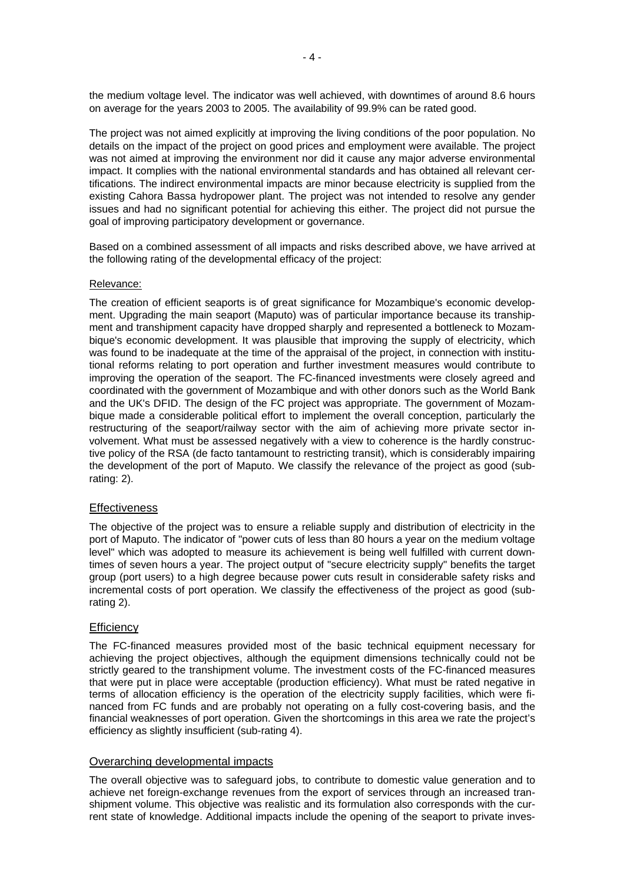the medium voltage level. The indicator was well achieved, with downtimes of around 8.6 hours on average for the years 2003 to 2005. The availability of 99.9% can be rated good.

The project was not aimed explicitly at improving the living conditions of the poor population. No details on the impact of the project on good prices and employment were available. The project was not aimed at improving the environment nor did it cause any major adverse environmental impact. It complies with the national environmental standards and has obtained all relevant certifications. The indirect environmental impacts are minor because electricity is supplied from the existing Cahora Bassa hydropower plant. The project was not intended to resolve any gender issues and had no significant potential for achieving this either. The project did not pursue the goal of improving participatory development or governance.

Based on a combined assessment of all impacts and risks described above, we have arrived at the following rating of the developmental efficacy of the project:

### Relevance:

The creation of efficient seaports is of great significance for Mozambique's economic development. Upgrading the main seaport (Maputo) was of particular importance because its transhipment and transhipment capacity have dropped sharply and represented a bottleneck to Mozambique's economic development. It was plausible that improving the supply of electricity, which was found to be inadequate at the time of the appraisal of the project, in connection with institutional reforms relating to port operation and further investment measures would contribute to improving the operation of the seaport. The FC-financed investments were closely agreed and coordinated with the government of Mozambique and with other donors such as the World Bank and the UK's DFID. The design of the FC project was appropriate. The government of Mozambique made a considerable political effort to implement the overall conception, particularly the restructuring of the seaport/railway sector with the aim of achieving more private sector involvement. What must be assessed negatively with a view to coherence is the hardly constructive policy of the RSA (de facto tantamount to restricting transit), which is considerably impairing the development of the port of Maputo. We classify the relevance of the project as good (subrating: 2).

#### **Effectiveness**

The objective of the project was to ensure a reliable supply and distribution of electricity in the port of Maputo. The indicator of "power cuts of less than 80 hours a year on the medium voltage level" which was adopted to measure its achievement is being well fulfilled with current downtimes of seven hours a year. The project output of "secure electricity supply" benefits the target group (port users) to a high degree because power cuts result in considerable safety risks and incremental costs of port operation. We classify the effectiveness of the project as good (subrating 2).

# **Efficiency**

The FC-financed measures provided most of the basic technical equipment necessary for achieving the project objectives, although the equipment dimensions technically could not be strictly geared to the transhipment volume. The investment costs of the FC-financed measures that were put in place were acceptable (production efficiency). What must be rated negative in terms of allocation efficiency is the operation of the electricity supply facilities, which were financed from FC funds and are probably not operating on a fully cost-covering basis, and the financial weaknesses of port operation. Given the shortcomings in this area we rate the project's efficiency as slightly insufficient (sub-rating 4).

# Overarching developmental impacts

The overall objective was to safeguard jobs, to contribute to domestic value generation and to achieve net foreign-exchange revenues from the export of services through an increased transhipment volume. This objective was realistic and its formulation also corresponds with the current state of knowledge. Additional impacts include the opening of the seaport to private inves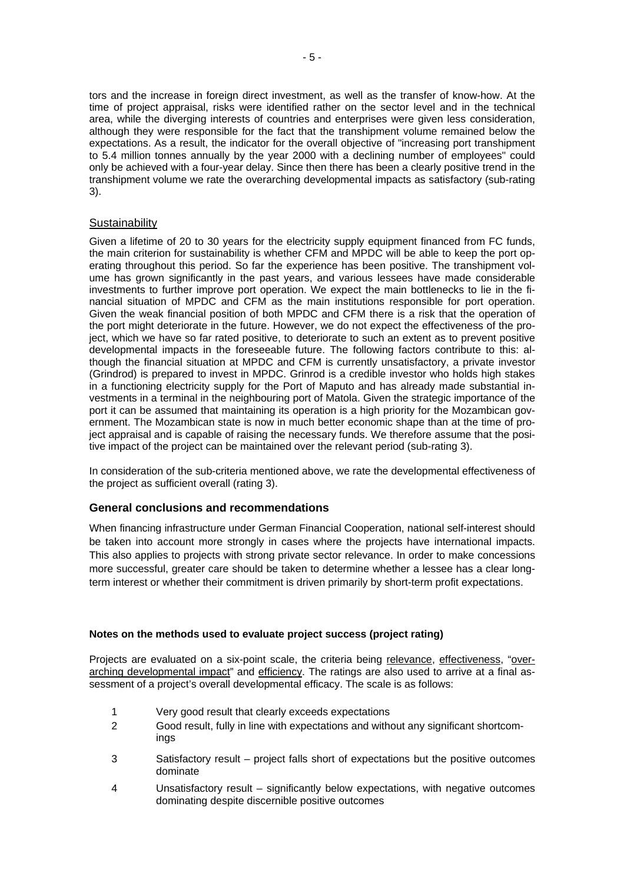tors and the increase in foreign direct investment, as well as the transfer of know-how. At the time of project appraisal, risks were identified rather on the sector level and in the technical area, while the diverging interests of countries and enterprises were given less consideration, although they were responsible for the fact that the transhipment volume remained below the expectations. As a result, the indicator for the overall objective of "increasing port transhipment to 5.4 million tonnes annually by the year 2000 with a declining number of employees" could only be achieved with a four-year delay. Since then there has been a clearly positive trend in the transhipment volume we rate the overarching developmental impacts as satisfactory (sub-rating 3).

# **Sustainability**

Given a lifetime of 20 to 30 years for the electricity supply equipment financed from FC funds, the main criterion for sustainability is whether CFM and MPDC will be able to keep the port operating throughout this period. So far the experience has been positive. The transhipment volume has grown significantly in the past years, and various lessees have made considerable investments to further improve port operation. We expect the main bottlenecks to lie in the financial situation of MPDC and CFM as the main institutions responsible for port operation. Given the weak financial position of both MPDC and CFM there is a risk that the operation of the port might deteriorate in the future. However, we do not expect the effectiveness of the project, which we have so far rated positive, to deteriorate to such an extent as to prevent positive developmental impacts in the foreseeable future. The following factors contribute to this: although the financial situation at MPDC and CFM is currently unsatisfactory, a private investor (Grindrod) is prepared to invest in MPDC. Grinrod is a credible investor who holds high stakes in a functioning electricity supply for the Port of Maputo and has already made substantial investments in a terminal in the neighbouring port of Matola. Given the strategic importance of the port it can be assumed that maintaining its operation is a high priority for the Mozambican government. The Mozambican state is now in much better economic shape than at the time of project appraisal and is capable of raising the necessary funds. We therefore assume that the positive impact of the project can be maintained over the relevant period (sub-rating 3).

In consideration of the sub-criteria mentioned above, we rate the developmental effectiveness of the project as sufficient overall (rating 3).

# **General conclusions and recommendations**

When financing infrastructure under German Financial Cooperation, national self-interest should be taken into account more strongly in cases where the projects have international impacts. This also applies to projects with strong private sector relevance. In order to make concessions more successful, greater care should be taken to determine whether a lessee has a clear longterm interest or whether their commitment is driven primarily by short-term profit expectations.

# **Notes on the methods used to evaluate project success (project rating)**

Projects are evaluated on a six-point scale, the criteria being relevance, effectiveness, "overarching developmental impact" and efficiency. The ratings are also used to arrive at a final assessment of a project's overall developmental efficacy. The scale is as follows:

- 1 Very good result that clearly exceeds expectations
- 2 Good result, fully in line with expectations and without any significant shortcomings
- 3 Satisfactory result project falls short of expectations but the positive outcomes dominate
- 4 Unsatisfactory result significantly below expectations, with negative outcomes dominating despite discernible positive outcomes